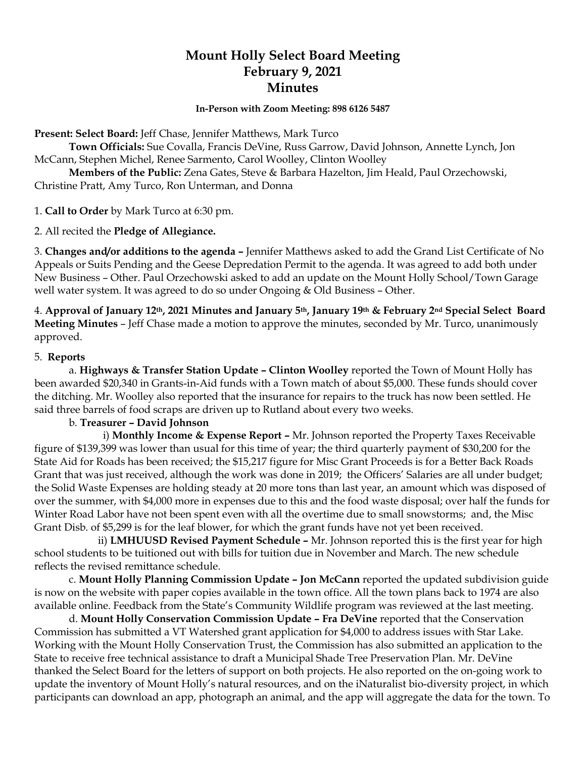# **Mount Holly Select Board Meeting February 9, 2021 Minutes**

**In-Person with Zoom Meeting: 898 6126 5487**

**Present: Select Board:** Jeff Chase, Jennifer Matthews, Mark Turco

**Town Officials:** Sue Covalla, Francis DeVine, Russ Garrow, David Johnson, Annette Lynch, Jon McCann, Stephen Michel, Renee Sarmento, Carol Woolley, Clinton Woolley

**Members of the Public:** Zena Gates, Steve & Barbara Hazelton, Jim Heald, Paul Orzechowski, Christine Pratt, Amy Turco, Ron Unterman, and Donna

1. **Call to Order** by Mark Turco at 6:30 pm.

2. All recited the **Pledge of Allegiance.**

3. **Changes and/or additions to the agenda –** Jennifer Matthews asked to add the Grand List Certificate of No Appeals or Suits Pending and the Geese Depredation Permit to the agenda. It was agreed to add both under New Business – Other. Paul Orzechowski asked to add an update on the Mount Holly School/Town Garage well water system. It was agreed to do so under Ongoing & Old Business – Other.

4. **Approval of January 12th, 2021 Minutes and January 5th, January 19th & February 2nd Special Select Board Meeting Minutes** – Jeff Chase made a motion to approve the minutes, seconded by Mr. Turco, unanimously approved.

#### 5. **Reports**

a. **Highways & Transfer Station Update – Clinton Woolley** reported the Town of Mount Holly has been awarded \$20,340 in Grants-in-Aid funds with a Town match of about \$5,000. These funds should cover the ditching. Mr. Woolley also reported that the insurance for repairs to the truck has now been settled. He said three barrels of food scraps are driven up to Rutland about every two weeks*.*

## b. **Treasurer – David Johnson**

 i) **Monthly Income & Expense Report –** Mr. Johnson reported the Property Taxes Receivable figure of \$139,399 was lower than usual for this time of year; the third quarterly payment of \$30,200 for the State Aid for Roads has been received; the \$15,217 figure for Misc Grant Proceeds is for a Better Back Roads Grant that was just received, although the work was done in 2019; the Officers' Salaries are all under budget; the Solid Waste Expenses are holding steady at 20 more tons than last year, an amount which was disposed of over the summer, with \$4,000 more in expenses due to this and the food waste disposal; over half the funds for Winter Road Labor have not been spent even with all the overtime due to small snowstorms; and, the Misc Grant Disb. of \$5,299 is for the leaf blower, for which the grant funds have not yet been received.

 ii) **LMHUUSD Revised Payment Schedule –** Mr. Johnson reported this is the first year for high school students to be tuitioned out with bills for tuition due in November and March. The new schedule reflects the revised remittance schedule.

c. **Mount Holly Planning Commission Update – Jon McCann** reported the updated subdivision guide is now on the website with paper copies available in the town office. All the town plans back to 1974 are also available online. Feedback from the State's Community Wildlife program was reviewed at the last meeting.

d. **Mount Holly Conservation Commission Update – Fra DeVine** reported that the Conservation Commission has submitted a VT Watershed grant application for \$4,000 to address issues with Star Lake. Working with the Mount Holly Conservation Trust, the Commission has also submitted an application to the State to receive free technical assistance to draft a Municipal Shade Tree Preservation Plan. Mr. DeVine thanked the Select Board for the letters of support on both projects. He also reported on the on-going work to update the inventory of Mount Holly's natural resources, and on the iNaturalist bio-diversity project, in which participants can download an app, photograph an animal, and the app will aggregate the data for the town. To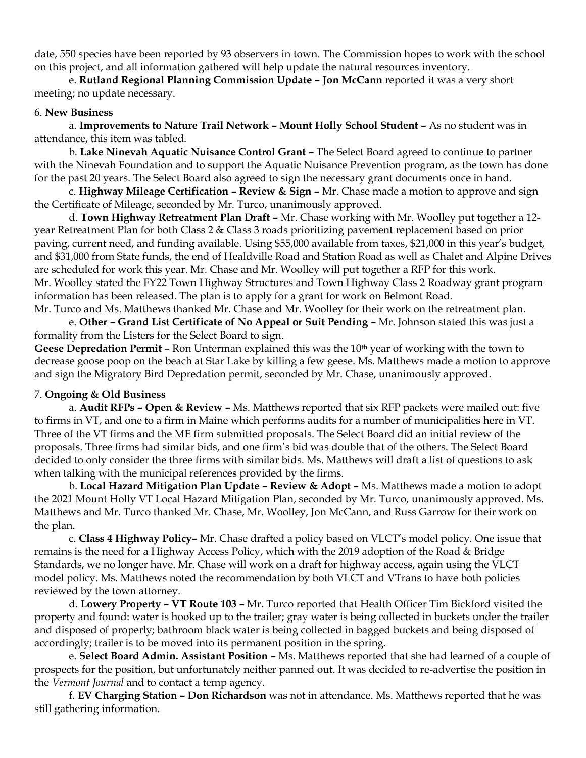date, 550 species have been reported by 93 observers in town. The Commission hopes to work with the school on this project, and all information gathered will help update the natural resources inventory.

e. **Rutland Regional Planning Commission Update – Jon McCann** reported it was a very short meeting; no update necessary.

#### 6. **New Business**

a. **Improvements to Nature Trail Network – Mount Holly School Student –** As no student was in attendance, this item was tabled.

b. **Lake Ninevah Aquatic Nuisance Control Grant –** The Select Board agreed to continue to partner with the Ninevah Foundation and to support the Aquatic Nuisance Prevention program, as the town has done for the past 20 years. The Select Board also agreed to sign the necessary grant documents once in hand.

c. **Highway Mileage Certification – Review & Sign –** Mr. Chase made a motion to approve and sign the Certificate of Mileage, seconded by Mr. Turco, unanimously approved.

d. **Town Highway Retreatment Plan Draft –** Mr. Chase working with Mr. Woolley put together a 12 year Retreatment Plan for both Class 2 & Class 3 roads prioritizing pavement replacement based on prior paving, current need, and funding available. Using \$55,000 available from taxes, \$21,000 in this year's budget, and \$31,000 from State funds, the end of Healdville Road and Station Road as well as Chalet and Alpine Drives are scheduled for work this year. Mr. Chase and Mr. Woolley will put together a RFP for this work. Mr. Woolley stated the FY22 Town Highway Structures and Town Highway Class 2 Roadway grant program information has been released. The plan is to apply for a grant for work on Belmont Road. Mr. Turco and Ms. Matthews thanked Mr. Chase and Mr. Woolley for their work on the retreatment plan.

e. **Other – Grand List Certificate of No Appeal or Suit Pending –** Mr. Johnson stated this was just a formality from the Listers for the Select Board to sign.

Geese Depredation Permit – Ron Unterman explained this was the 10<sup>th</sup> year of working with the town to decrease goose poop on the beach at Star Lake by killing a few geese. Ms. Matthews made a motion to approve and sign the Migratory Bird Depredation permit, seconded by Mr. Chase, unanimously approved.

## 7. **Ongoing & Old Business**

a. **Audit RFPs – Open & Review –** Ms. Matthews reported that six RFP packets were mailed out: five to firms in VT, and one to a firm in Maine which performs audits for a number of municipalities here in VT. Three of the VT firms and the ME firm submitted proposals. The Select Board did an initial review of the proposals. Three firms had similar bids, and one firm's bid was double that of the others. The Select Board decided to only consider the three firms with similar bids. Ms. Matthews will draft a list of questions to ask when talking with the municipal references provided by the firms.

b. **Local Hazard Mitigation Plan Update – Review & Adopt –** Ms. Matthews made a motion to adopt the 2021 Mount Holly VT Local Hazard Mitigation Plan, seconded by Mr. Turco, unanimously approved. Ms. Matthews and Mr. Turco thanked Mr. Chase, Mr. Woolley, Jon McCann, and Russ Garrow for their work on the plan.

c. **Class 4 Highway Policy–** Mr. Chase drafted a policy based on VLCT's model policy. One issue that remains is the need for a Highway Access Policy, which with the 2019 adoption of the Road & Bridge Standards, we no longer have. Mr. Chase will work on a draft for highway access, again using the VLCT model policy. Ms. Matthews noted the recommendation by both VLCT and VTrans to have both policies reviewed by the town attorney.

d. **Lowery Property – VT Route 103 –** Mr. Turco reported that Health Officer Tim Bickford visited the property and found: water is hooked up to the trailer; gray water is being collected in buckets under the trailer and disposed of properly; bathroom black water is being collected in bagged buckets and being disposed of accordingly; trailer is to be moved into its permanent position in the spring.

e. **Select Board Admin. Assistant Position –** Ms. Matthews reported that she had learned of a couple of prospects for the position, but unfortunately neither panned out. It was decided to re-advertise the position in the *Vermont Journal* and to contact a temp agency.

f. **EV Charging Station – Don Richardson** was not in attendance. Ms. Matthews reported that he was still gathering information.